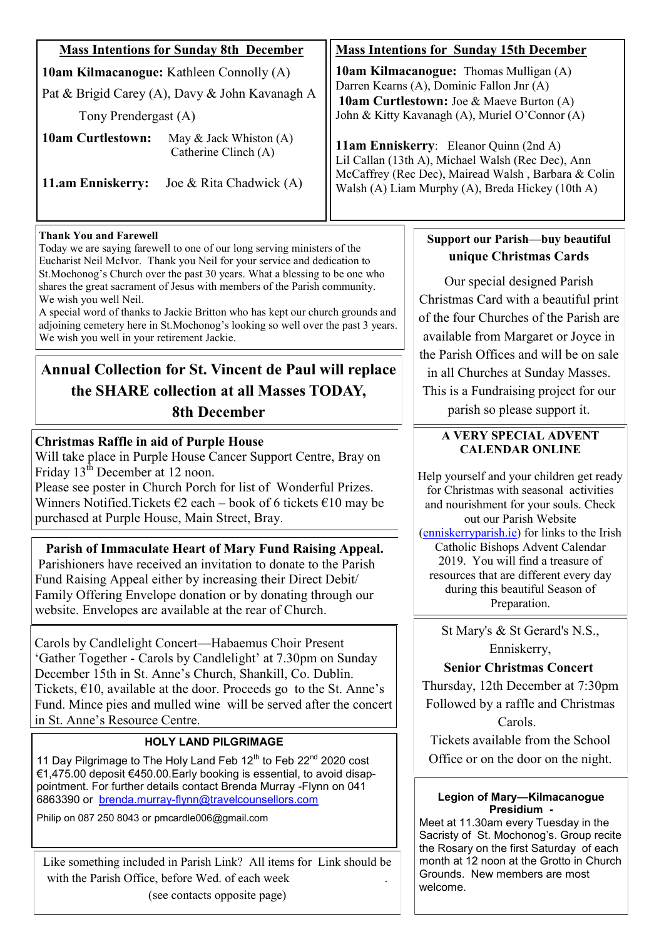| <b>Mass Intentions for Sunday 8th December</b>                                                                                 | <b>Mass Intentions for Sunday 15th December</b>                                                                                                                                                                |
|--------------------------------------------------------------------------------------------------------------------------------|----------------------------------------------------------------------------------------------------------------------------------------------------------------------------------------------------------------|
| 10am Kilmacanogue: Kathleen Connolly (A)<br>Pat & Brigid Carey (A), Davy & John Kavanagh A<br>Tony Prendergast (A)             | <b>10am Kilmacanogue:</b> Thomas Mulligan (A)<br>Darren Kearns (A), Dominic Fallon Jnr (A)<br><b>10am Curtlestown:</b> Joe & Maeve Burton (A)<br>John & Kitty Kavanagh (A), Muriel O'Connor (A)                |
| <b>10am Curtlestown:</b><br>May $&$ Jack Whiston (A)<br>Catherine Clinch (A)<br>11.am Enniskerry:<br>Joe & Rita Chadwick $(A)$ | <b>11am Enniskerry</b> : Eleanor Quinn (2nd A)<br>Lil Callan (13th A), Michael Walsh (Rec Dec), Ann<br>McCaffrey (Rec Dec), Mairead Walsh, Barbara & Colin<br>Walsh (A) Liam Murphy (A), Breda Hickey (10th A) |

#### **Thank You and Farewell**

Today we are saying farewell to one of our long serving ministers of the Eucharist Neil McIvor. Thank you Neil for your service and dedication to St.Mochonog's Church over the past 30 years. What a blessing to be one who shares the great sacrament of Jesus with members of the Parish community. We wish you well Neil.

A special word of thanks to Jackie Britton who has kept our church grounds and adjoining cemetery here in St.Mochonog's looking so well over the past 3 years. We wish you well in your retirement Jackie.

# **Annual Collection for St. Vincent de Paul will replace the SHARE collection at all Masses TODAY, 8th December**

## **Christmas Raffle in aid of Purple House**

Will take place in Purple House Cancer Support Centre, Bray on Friday 13<sup>th</sup> December at 12 noon.

Please see poster in Church Porch for list of Wonderful Prizes. Winners Notified. Tickets  $\epsilon$ 2 each – book of 6 tickets  $\epsilon$ 10 may be purchased at Purple House, Main Street, Bray.

**Parish of Immaculate Heart of Mary Fund Raising Appeal.** Parishioners have received an invitation to donate to the Parish Fund Raising Appeal either by increasing their Direct Debit/ Family Offering Envelope donation or by donating through our website. Envelopes are available at the rear of Church.

Carols by Candlelight Concert—Habaemus Choir Present 'Gather Together - Carols by Candlelight' at 7.30pm on Sunday December 15th in St. Anne's Church, Shankill, Co. Dublin. Tickets,  $€10$ , available at the door. Proceeds go to the St. Anne's Fund. Mince pies and mulled wine will be served after the concert in St. Anne's Resource Centre.

## **HOLY LAND PILGRIMAGE**

11 Day Pilgrimage to The Holy Land Feb 12<sup>th</sup> to Feb 22<sup>nd</sup> 2020 cost €1,475.00 deposit €450.00.Early booking is essential, to avoid disappointment. For further details contact Brenda Murray -Flynn on 041 6863390 or brenda.murray-[flynn@travelcounsellors.com](mailto:brenda.murray-flynn@travelcounsellors.com)

Philip on 087 250 8043 or pmcardle006@gmail.com

Like something included in Parish Link? All items for Link should be with the Parish Office, before Wed. of each week (see contacts opposite page)

# **Support our Parish—buy beautiful unique Christmas Cards**

Our special designed Parish Christmas Card with a beautiful print of the four Churches of the Parish are available from Margaret or Joyce in the Parish Offices and will be on sale in all Churches at Sunday Masses. This is a Fundraising project for our parish so please support it.

#### **A VERY SPECIAL ADVENT CALENDAR ONLINE**

Help yourself and your children get ready for Christmas with seasonal activities and nourishment for your souls. Check out our Parish Website ([enniskerryparish.ie\)](http://enniskerryparish.ie) for links to the Irish Catholic Bishops Advent Calendar 2019. You will find a treasure of resources that are different every day during this beautiful Season of Preparation.

> St Mary's & St Gerard's N.S., Enniskerry,

**Senior Christmas Concert** Thursday, 12th December at 7:30pm Followed by a raffle and Christmas

Carols.

Tickets available from the School Office or on the door on the night.

#### **Legion of Mary—Kilmacanogue Presidium -**

Meet at 11.30am every Tuesday in the Sacristy of St. Mochonog's. Group recite the Rosary on the first Saturday of each month at 12 noon at the Grotto in Church Grounds. New members are most welcome.